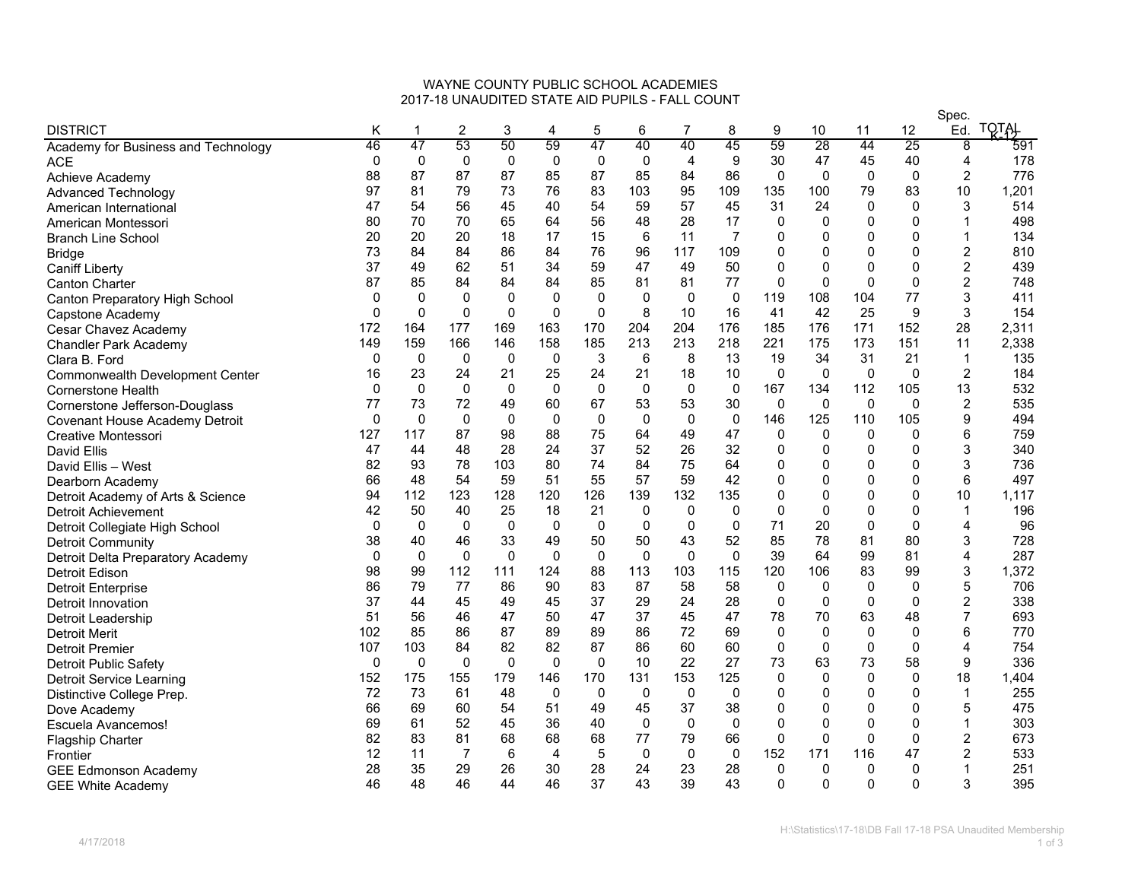## WAYNE COUNTY PUBLIC SCHOOL ACADEMIES2017-18 UNAUDITED STATE AID PUPILS - FALL COUNT

|                                        |              |                  |                |              |             |             |             |             |              |              |              |             |              | Spec.          |                  |
|----------------------------------------|--------------|------------------|----------------|--------------|-------------|-------------|-------------|-------------|--------------|--------------|--------------|-------------|--------------|----------------|------------------|
| <b>DISTRICT</b>                        | Κ            | $\mathbf 1$      | $\overline{c}$ | 3            | 4           | 5           | 6           | 7           | 8            | 9            | 10           | 11          | $12 \,$      | Ed.            | <b>TQTAL</b>     |
| Academy for Business and Technology    | 46           | 47               | 53             | 50           | 59          | 47          | 40          | 40          | 45           | 59           | 28           | 44          | 25           | 8              | $\overline{591}$ |
| <b>ACE</b>                             | 0            | 0                | $\mathbf 0$    | 0            | 0           | 0           | 0           | 4           | 9            | 30           | 47           | 45          | 40           | 4              | 178              |
| Achieve Academy                        | 88           | 87               | 87             | 87           | 85          | 87          | 85          | 84          | 86           | 0            | $\Omega$     | 0           | $\mathbf 0$  | $\overline{2}$ | 776              |
| <b>Advanced Technology</b>             | 97           | 81               | 79             | 73           | 76          | 83          | 103         | 95          | 109          | 135          | 100          | 79          | 83           | 10             | 1,201            |
| American International                 | 47           | 54               | 56             | 45           | 40          | 54          | 59          | 57          | 45           | 31           | 24           | $\mathbf 0$ | $\Omega$     | 3              | 514              |
| American Montessori                    | 80           | 70               | 70             | 65           | 64          | 56          | 48          | 28          | 17           | 0            | $\Omega$     | $\mathbf 0$ | $\Omega$     |                | 498              |
| <b>Branch Line School</b>              | 20           | 20               | 20             | 18           | 17          | 15          | 6           | 11          | 7            | 0            | 0            | $\Omega$    | $\mathbf{0}$ |                | 134              |
| <b>Bridge</b>                          | 73           | 84               | 84             | 86           | 84          | 76          | 96          | 117         | 109          | 0            | 0            | $\mathbf 0$ | 0            | $\overline{c}$ | 810              |
| <b>Caniff Liberty</b>                  | 37           | 49               | 62             | 51           | 34          | 59          | 47          | 49          | 50           | 0            | $\mathbf{0}$ | $\mathbf 0$ | $\Omega$     | $\overline{2}$ | 439              |
| <b>Canton Charter</b>                  | 87           | 85               | 84             | 84           | 84          | 85          | 81          | 81          | 77           | 0            | 0            | $\Omega$    | 0            | $\overline{2}$ | 748              |
| Canton Preparatory High School         | 0            | $\boldsymbol{0}$ | 0              | 0            | $\pmb{0}$   | 0           | 0           | 0           | $\pmb{0}$    | 119          | 108          | 104         | 77           | 3              | 411              |
| Capstone Academy                       | $\mathbf{0}$ | $\mathbf 0$      | $\Omega$       | $\mathbf{0}$ | $\mathbf 0$ | $\Omega$    | 8           | 10          | 16           | 41           | 42           | 25          | 9            | 3              | 154              |
| Cesar Chavez Academy                   | 172          | 164              | 177            | 169          | 163         | 170         | 204         | 204         | 176          | 185          | 176          | 171         | 152          | 28             | 2,311            |
| <b>Chandler Park Academy</b>           | 149          | 159              | 166            | 146          | 158         | 185         | 213         | 213         | 218          | 221          | 175          | 173         | 151          | 11             | 2,338            |
| Clara B. Ford                          | 0            | $\mathbf 0$      | $\mathbf{0}$   | 0            | $\mathbf 0$ | 3           | 6           | 8           | 13           | 19           | 34           | 31          | 21           | $\mathbf{1}$   | 135              |
| <b>Commonwealth Development Center</b> | 16           | 23               | 24             | 21           | 25          | 24          | 21          | 18          | 10           | 0            | $\Omega$     | $\mathbf 0$ | $\mathbf{0}$ | $\overline{2}$ | 184              |
| <b>Cornerstone Health</b>              | 0            | 0                | $\mathbf 0$    | 0            | $\mathbf 0$ | 0           | 0           | $\mathbf 0$ | $\mathbf 0$  | 167          | 134          | 112         | 105          | 13             | 532              |
| Cornerstone Jefferson-Douglass         | 77           | 73               | 72             | 49           | 60          | 67          | 53          | 53          | 30           | $\mathbf 0$  | $\mathbf 0$  | $\mathbf 0$ | $\mathbf 0$  | $\overline{2}$ | 535              |
| <b>Covenant House Academy Detroit</b>  | 0            | $\mathbf 0$      | $\mathbf 0$    | 0            | $\mathbf 0$ | $\mathbf 0$ | $\Omega$    | $\mathbf 0$ | $\mathbf 0$  | 146          | 125          | 110         | 105          | 9              | 494              |
| Creative Montessori                    | 127          | 117              | 87             | 98           | 88          | 75          | 64          | 49          | 47           | 0            | $\Omega$     | 0           | 0            | 6              | 759              |
| David Ellis                            | 47           | 44               | 48             | 28           | 24          | 37          | 52          | 26          | 32           | 0            | 0            | $\mathbf 0$ | 0            | 3              | 340              |
| David Ellis - West                     | 82           | 93               | 78             | 103          | 80          | 74          | 84          | 75          | 64           | 0            | $\Omega$     | $\mathbf 0$ | 0            | 3              | 736              |
| Dearborn Academy                       | 66           | 48               | 54             | 59           | 51          | 55          | 57          | 59          | 42           | 0            | $\mathbf{0}$ | $\mathbf 0$ | $\Omega$     | 6              | 497              |
| Detroit Academy of Arts & Science      | 94           | 112              | 123            | 128          | 120         | 126         | 139         | 132         | 135          | 0            | 0            | $\mathbf 0$ | $\mathbf 0$  | 10             | 1,117            |
| Detroit Achievement                    | 42           | 50               | 40             | 25           | 18          | 21          | 0           | 0           | 0            | $\mathbf{0}$ | $\Omega$     | $\mathbf 0$ | $\Omega$     | $\mathbf 1$    | 196              |
| Detroit Collegiate High School         | 0            | $\mathbf 0$      | $\mathbf 0$    | $\mathbf 0$  | $\mathbf 0$ | 0           | $\Omega$    | $\mathbf 0$ | $\mathbf 0$  | 71           | 20           | $\mathbf 0$ | $\mathbf{0}$ | 4              | 96               |
| <b>Detroit Community</b>               | 38           | 40               | 46             | 33           | 49          | 50          | 50          | 43          | 52           | 85           | 78           | 81          | 80           | 3              | 728              |
| Detroit Delta Preparatory Academy      | 0            | 0                | $\mathbf 0$    | $\mathbf 0$  | 0           | $\mathbf 0$ | $\mathbf 0$ | 0           | 0            | 39           | 64           | 99          | 81           | 4              | 287              |
| Detroit Edison                         | 98           | 99               | 112            | 111          | 124         | 88          | 113         | 103         | 115          | 120          | 106          | 83          | 99           | 3              | 1,372            |
| <b>Detroit Enterprise</b>              | 86           | 79               | 77             | 86           | 90          | 83          | 87          | 58          | 58           | 0            | 0            | 0           | 0            | 5              | 706              |
| Detroit Innovation                     | 37           | 44               | 45             | 49           | 45          | 37          | 29          | 24          | 28           | $\mathbf 0$  | $\mathbf 0$  | $\mathbf 0$ | $\mathbf 0$  | $\overline{c}$ | 338              |
| Detroit Leadership                     | 51           | 56               | 46             | 47           | 50          | 47          | 37          | 45          | 47           | 78           | 70           | 63          | 48           |                | 693              |
| <b>Detroit Merit</b>                   | 102          | 85               | 86             | 87           | 89          | 89          | 86          | 72          | 69           | $\Omega$     | $\Omega$     | $\mathbf 0$ | $\mathbf{0}$ | 6              | 770              |
| <b>Detroit Premier</b>                 | 107          | 103              | 84             | 82           | 82          | 87          | 86          | 60          | 60           | 0            | $\mathbf 0$  | 0           | 0            | 4              | 754              |
| Detroit Public Safety                  | 0            | $\mathbf 0$      | $\Omega$       | $\Omega$     | $\mathbf 0$ | $\mathbf 0$ | 10          | 22          | 27           | 73           | 63           | 73          | 58           | 9              | 336              |
| Detroit Service Learning               | 152          | 175              | 155            | 179          | 146         | 170         | 131         | 153         | 125          | 0            | $\Omega$     | $\Omega$    | $\Omega$     | 18             | 1,404            |
| Distinctive College Prep.              | 72           | 73               | 61             | 48           | $\mathbf 0$ | 0           | 0           | 0           | 0            | 0            | 0            | 0           | 0            | 1              | 255              |
| Dove Academy                           | 66           | 69               | 60             | 54           | 51          | 49          | 45          | 37          | 38           | 0            | 0            | $\mathbf 0$ | $\Omega$     | 5              | 475              |
| Escuela Avancemos!                     | 69           | 61               | 52             | 45           | 36          | 40          | $\Omega$    | $\Omega$    | $\mathbf{0}$ | 0            | $\mathbf{0}$ | $\Omega$    | $\mathbf{0}$ |                | 303              |
| <b>Flagship Charter</b>                | 82           | 83               | 81             | 68           | 68          | 68          | 77          | 79          | 66           | $\mathbf 0$  | 0            | $\mathbf 0$ | 0            | $\overline{c}$ | 673              |
| Frontier                               | 12           | 11               | $\overline{7}$ | 6            | 4           | 5           | $\mathbf 0$ | $\mathbf 0$ | 0            | 152          | 171          | 116         | 47           | 2              | 533              |
| <b>GEE Edmonson Academy</b>            | 28           | 35               | 29             | 26           | 30          | 28          | 24          | 23          | 28           | 0            | $\Omega$     | 0           | 0            |                | 251              |
| <b>GEE White Academy</b>               | 46           | 48               | 46             | 44           | 46          | 37          | 43          | 39          | 43           | $\Omega$     | 0            | $\mathbf 0$ | $\mathbf{0}$ | 3              | 395              |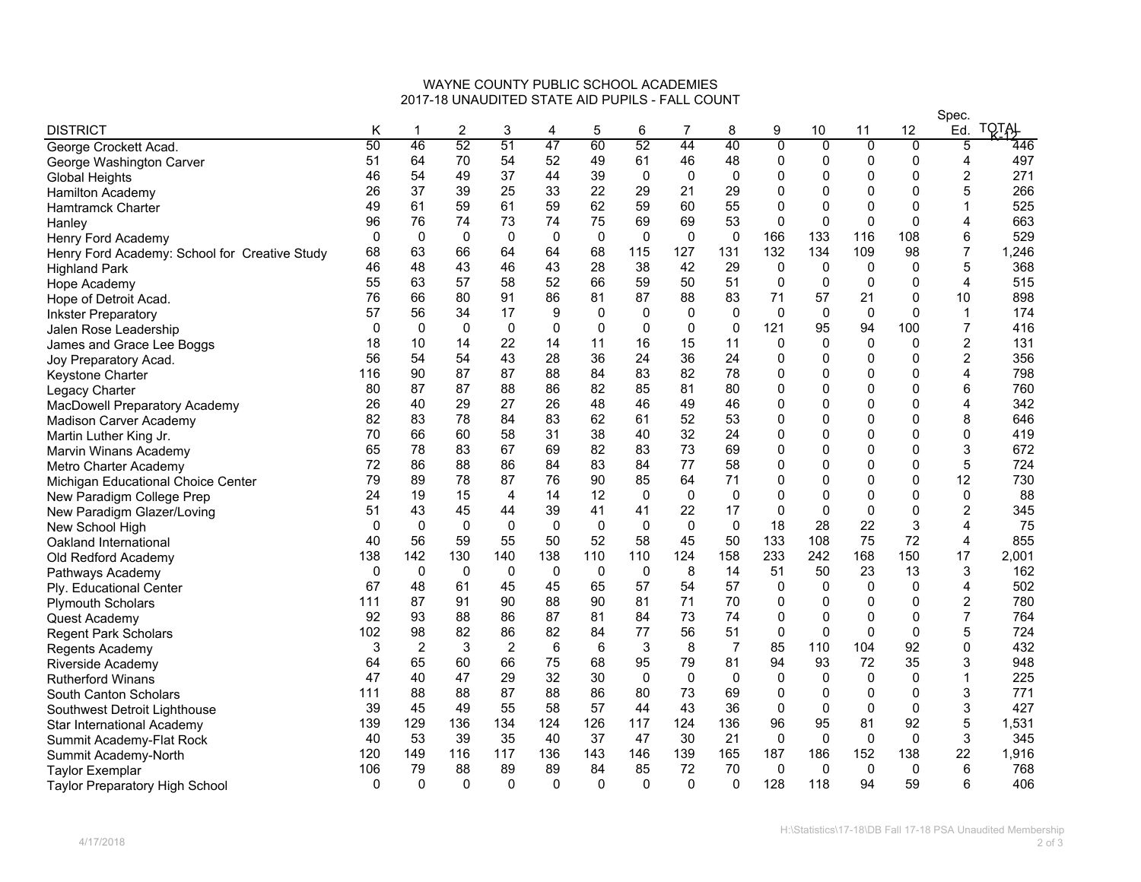## WAYNE COUNTY PUBLIC SCHOOL ACADEMIES2017-18 UNAUDITED STATE AID PUPILS - FALL COUNT

|                                               |              |                |                |                |             |             |              |              |                |                |              |              |                | Spec.          |              |  |  |
|-----------------------------------------------|--------------|----------------|----------------|----------------|-------------|-------------|--------------|--------------|----------------|----------------|--------------|--------------|----------------|----------------|--------------|--|--|
| <b>DISTRICT</b>                               | Κ            | 1              | $\overline{c}$ | 3              | 4           | 5           | 6            | 7            | 8              | 9              | 10           | 11           | 12             | Ed.            | <b>TQTAL</b> |  |  |
| George Crockett Acad.                         | 50           | 46             | 52             | 51             | 47          | 60          | 52           | 44           | 40             | $\overline{0}$ | 0            | Ō            | $\overline{0}$ | 5              | 446          |  |  |
| George Washington Carver                      | 51           | 64             | 70             | 54             | 52          | 49          | 61           | 46           | 48             | 0              | 0            | 0            | 0              | 4              | 497          |  |  |
| <b>Global Heights</b>                         | 46           | 54             | 49             | 37             | 44          | 39          | 0            | $\mathbf 0$  | $\mathbf 0$    | 0              | 0            | $\mathbf 0$  | $\mathbf 0$    | $\overline{2}$ | 271          |  |  |
| <b>Hamilton Academy</b>                       | 26           | 37             | 39             | 25             | 33          | 22          | 29           | 21           | 29             | 0              | 0            | 0            | 0              | 5              | 266          |  |  |
| Hamtramck Charter                             | 49           | 61             | 59             | 61             | 59          | 62          | 59           | 60           | 55             | 0              | 0            | $\mathbf 0$  | $\mathbf{0}$   |                | 525          |  |  |
| Hanley                                        | 96           | 76             | 74             | 73             | 74          | 75          | 69           | 69           | 53             | 0              | 0            | $\mathbf 0$  | $\mathbf 0$    |                | 663          |  |  |
| Henry Ford Academy                            | 0            | 0              | $\Omega$       | 0              | 0           | 0           | 0            | 0            | 0              | 166            | 133          | 116          | 108            | 6              | 529          |  |  |
| Henry Ford Academy: School for Creative Study | 68           | 63             | 66             | 64             | 64          | 68          | 115          | 127          | 131            | 132            | 134          | 109          | 98             |                | 1,246        |  |  |
| <b>Highland Park</b>                          | 46           | 48             | 43             | 46             | 43          | 28          | 38           | 42           | 29             | 0              | 0            | 0            | 0              | 5              | 368          |  |  |
| Hope Academy                                  | 55           | 63             | 57             | 58             | 52          | 66          | 59           | 50           | 51             | 0              | 0            | $\mathbf 0$  | 0              | 4              | 515          |  |  |
| Hope of Detroit Acad.                         | 76           | 66             | 80             | 91             | 86          | 81          | 87           | 88           | 83             | 71             | 57           | 21           | 0              | 10             | 898          |  |  |
| <b>Inkster Preparatory</b>                    | 57           | 56             | 34             | 17             | 9           | 0           | $\Omega$     | 0            | 0              | 0              | $\mathbf 0$  | $\mathbf 0$  | 0              | $\mathbf{1}$   | 174          |  |  |
| Jalen Rose Leadership                         | 0            | 0              | 0              | 0              | 0           | 0           | $\Omega$     | 0            | $\mathbf 0$    | 121            | 95           | 94           | 100            |                | 416          |  |  |
| James and Grace Lee Boggs                     | 18           | 10             | 14             | 22             | 14          | 11          | 16           | 15           | 11             | 0              | 0            | $\mathbf 0$  | $\mathbf 0$    | $\overline{2}$ | 131          |  |  |
| Joy Preparatory Acad.                         | 56           | 54             | 54             | 43             | 28          | 36          | 24           | 36           | 24             | 0              | 0            | $\mathbf 0$  | 0              | $\overline{c}$ | 356          |  |  |
| Keystone Charter                              | 116          | 90             | 87             | 87             | 88          | 84          | 83           | 82           | 78             | 0              | 0            | $\mathbf 0$  | 0              | 4              | 798          |  |  |
| Legacy Charter                                | 80           | 87             | 87             | 88             | 86          | 82          | 85           | 81           | 80             | 0              | $\mathbf{0}$ | $\mathbf 0$  | $\mathbf 0$    | 6              | 760          |  |  |
| MacDowell Preparatory Academy                 | 26           | 40             | 29             | 27             | 26          | 48          | 46           | 49           | 46             | 0              | 0            | $\mathbf 0$  | $\Omega$       | 4              | 342          |  |  |
| <b>Madison Carver Academy</b>                 | 82           | 83             | 78             | 84             | 83          | 62          | 61           | 52           | 53             | 0              | 0            | $\mathbf 0$  | $\mathbf 0$    | 8              | 646          |  |  |
| Martin Luther King Jr.                        | 70           | 66             | 60             | 58             | 31          | 38          | 40           | 32           | 24             | 0              | 0            | $\mathbf 0$  | 0              | $\Omega$       | 419          |  |  |
| Marvin Winans Academy                         | 65           | 78             | 83             | 67             | 69          | 82          | 83           | 73           | 69             | 0              | 0            | $\Omega$     | $\Omega$       | 3              | 672          |  |  |
| Metro Charter Academy                         | 72           | 86             | 88             | 86             | 84          | 83          | 84           | 77           | 58             | 0              | 0            | $\mathbf 0$  | 0              | 5              | 724          |  |  |
| Michigan Educational Choice Center            | 79           | 89             | 78             | 87             | 76          | 90          | 85           | 64           | 71             | 0              | $\mathbf{0}$ | $\mathbf 0$  | 0              | 12             | 730          |  |  |
| New Paradigm College Prep                     | 24           | 19             | 15             | $\overline{4}$ | 14          | 12          | $\Omega$     | $\mathbf 0$  | $\mathbf 0$    | 0              | 0            | $\mathbf 0$  | $\mathbf{0}$   | $\Omega$       | 88           |  |  |
| New Paradigm Glazer/Loving                    | 51           | 43             | 45             | 44             | 39          | 41          | 41           | 22           | 17             | 0              | 0            | $\mathbf 0$  | 0              | 2              | 345          |  |  |
| New School High                               | $\mathbf{0}$ | $\Omega$       | $\Omega$       | $\mathbf{0}$   | $\Omega$    | $\Omega$    | $\Omega$     | $\Omega$     | $\mathbf{0}$   | 18             | 28           | 22           | 3              | 4              | 75           |  |  |
| Oakland International                         | 40           | 56             | 59             | 55             | 50          | 52          | 58           | 45           | 50             | 133            | 108          | 75           | 72             | $\overline{4}$ | 855          |  |  |
| Old Redford Academy                           | 138          | 142            | 130            | 140            | 138         | 110         | 110          | 124          | 158            | 233            | 242          | 168          | 150            | 17             | 2,001        |  |  |
| Pathways Academy                              | 0            | $\mathbf 0$    | $\mathbf 0$    | $\mathbf 0$    | $\mathbf 0$ | $\mathbf 0$ | $\Omega$     | 8            | 14             | 51             | 50           | 23           | 13             | 3              | 162          |  |  |
| Ply. Educational Center                       | 67           | 48             | 61             | 45             | 45          | 65          | 57           | 54           | 57             | $\Omega$       | $\Omega$     | 0            | 0              | 4              | 502          |  |  |
| <b>Plymouth Scholars</b>                      | 111          | 87             | 91             | 90             | 88          | 90          | 81           | 71           | 70             | 0              | 0            | 0            | 0              | 2              | 780          |  |  |
| Quest Academy                                 | 92           | 93             | 88             | 86             | 87          | 81          | 84           | 73           | 74             | 0              | 0            | $\mathbf 0$  | $\mathbf 0$    | 7              | 764          |  |  |
| <b>Regent Park Scholars</b>                   | 102          | 98             | 82             | 86             | 82          | 84          | 77           | 56           | 51             | $\mathbf 0$    | $\Omega$     | $\Omega$     | $\mathbf 0$    | 5              | 724          |  |  |
| Regents Academy                               | 3            | $\overline{2}$ | 3              | $\overline{c}$ | 6           | 6           | 3            | 8            | $\overline{7}$ | 85             | 110          | 104          | 92             | $\Omega$       | 432          |  |  |
| Riverside Academy                             | 64           | 65             | 60             | 66             | 75          | 68          | 95           | 79           | 81             | 94             | 93           | 72           | 35             | 3              | 948          |  |  |
| <b>Rutherford Winans</b>                      | 47           | 40             | 47             | 29             | 32          | 30          | $\Omega$     | $\mathbf{0}$ | $\mathbf 0$    | $\Omega$       | $\Omega$     | $\mathbf{0}$ | 0              |                | 225          |  |  |
| South Canton Scholars                         | 111          | 88             | 88             | 87             | 88          | 86          | 80           | 73           | 69             | 0              | 0            | 0            | 0              | 3              | 771          |  |  |
| Southwest Detroit Lighthouse                  | 39           | 45             | 49             | 55             | 58          | 57          | 44           | 43           | 36             | 0              | 0            | 0            | 0              | 3              | 427          |  |  |
| Star International Academy                    | 139          | 129            | 136            | 134            | 124         | 126         | 117          | 124          | 136            | 96             | 95           | 81           | 92             | 5              | 1,531        |  |  |
| Summit Academy-Flat Rock                      | 40           | 53             | 39             | 35             | 40          | 37          | 47           | 30           | 21             | $\mathbf 0$    | $\mathbf 0$  | $\mathbf 0$  | $\mathbf 0$    | 3              | 345          |  |  |
| Summit Academy-North                          | 120          | 149            | 116            | 117            | 136         | 143         | 146          | 139          | 165            | 187            | 186          | 152          | 138            | 22             | 1,916        |  |  |
| <b>Taylor Exemplar</b>                        | 106          | 79             | 88             | 89             | 89          | 84          | 85           | 72           | 70             | $\Omega$       | 0            | $\mathbf{0}$ | 0              | 6              | 768          |  |  |
| Taylor Preparatory High School                | 0            | $\Omega$       | $\Omega$       | $\Omega$       | $\Omega$    | $\Omega$    | $\mathbf{0}$ | $\Omega$     | $\mathbf 0$    | 128            | 118          | 94           | 59             | 6              | 406          |  |  |